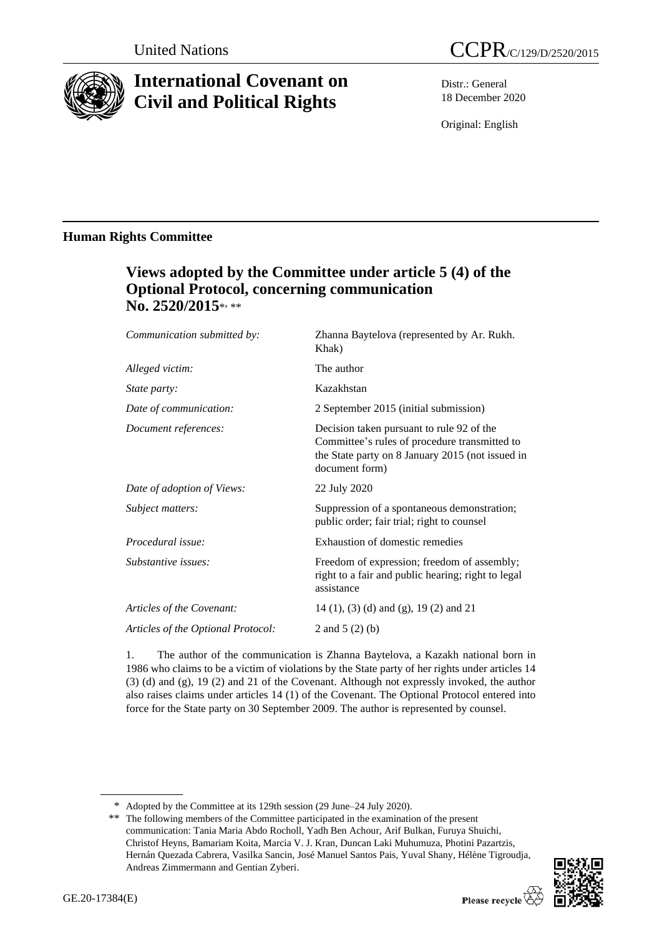

# **International Covenant on Civil and Political Rights**

Distr.: General 18 December 2020

Original: English

# **Human Rights Committee**

# **Views adopted by the Committee under article 5 (4) of the Optional Protocol, concerning communication No. 2520/2015**\* , \*\*

| Communication submitted by:        | Zhanna Baytelova (represented by Ar. Rukh.<br>Khak)                                                                                                              |
|------------------------------------|------------------------------------------------------------------------------------------------------------------------------------------------------------------|
| Alleged victim:                    | The author                                                                                                                                                       |
| State party:                       | Kazakhstan                                                                                                                                                       |
| Date of communication:             | 2 September 2015 (initial submission)                                                                                                                            |
| Document references:               | Decision taken pursuant to rule 92 of the<br>Committee's rules of procedure transmitted to<br>the State party on 8 January 2015 (not issued in<br>document form) |
| Date of adoption of Views:         | 22 July 2020                                                                                                                                                     |
| Subject matters:                   | Suppression of a spontaneous demonstration;<br>public order; fair trial; right to counsel                                                                        |
| Procedural issue:                  | Exhaustion of domestic remedies                                                                                                                                  |
| Substantive issues:                | Freedom of expression; freedom of assembly;<br>right to a fair and public hearing; right to legal<br>assistance                                                  |
| Articles of the Covenant:          | 14 (1), (3) (d) and (g), 19 (2) and 21                                                                                                                           |
| Articles of the Optional Protocol: | 2 and $5(2)(b)$                                                                                                                                                  |
|                                    |                                                                                                                                                                  |

1. The author of the communication is Zhanna Baytelova, a Kazakh national born in 1986 who claims to be a victim of violations by the State party of her rights under articles 14 (3) (d) and (g), 19 (2) and 21 of the Covenant. Although not expressly invoked, the author also raises claims under articles 14 (1) of the Covenant. The Optional Protocol entered into force for the State party on 30 September 2009. The author is represented by counsel.

<sup>\*\*</sup> The following members of the Committee participated in the examination of the present communication: Tania Maria Abdo Rocholl, Yadh Ben Achour, Arif Bulkan, Furuya Shuichi, Christof Heyns, Bamariam Koita, Marcia V. J. Kran, Duncan Laki Muhumuza, Photini Pazartzis, Hernán Quezada Cabrera, Vasilka Sancin, José Manuel Santos Pais, Yuval Shany, Hélène Tigroudja, Andreas Zimmermann and Gentian Zyberi.



<sup>\*</sup> Adopted by the Committee at its 129th session (29 June–24 July 2020).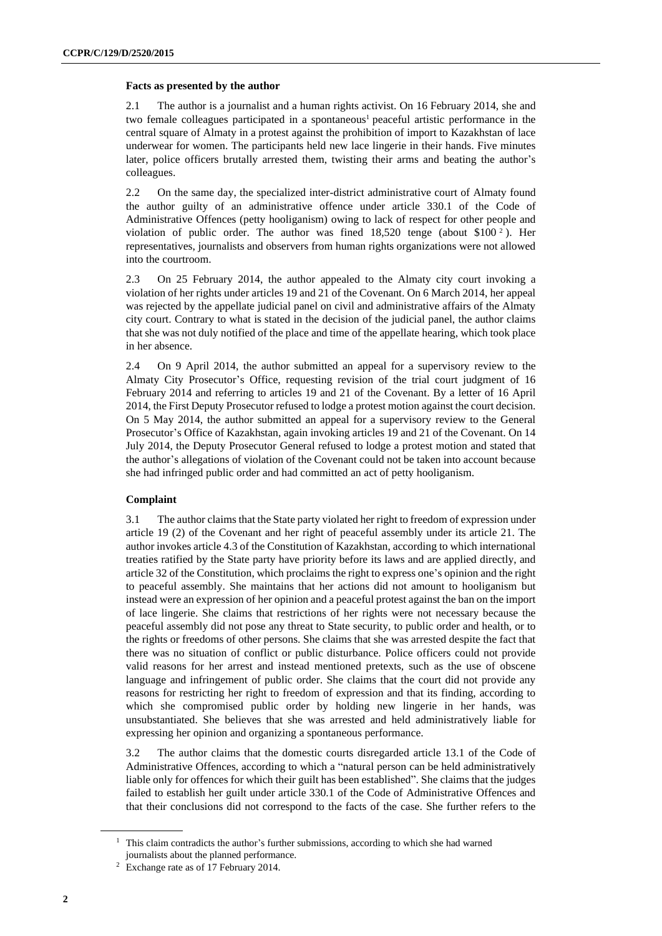### **Facts as presented by the author**

2.1 The author is a journalist and a human rights activist. On 16 February 2014, she and two female colleagues participated in a spontaneous<sup>1</sup> peaceful artistic performance in the central square of Almaty in a protest against the prohibition of import to Kazakhstan of lace underwear for women. The participants held new lace lingerie in their hands. Five minutes later, police officers brutally arrested them, twisting their arms and beating the author's colleagues.

2.2 On the same day, the specialized inter-district administrative court of Almaty found the author guilty of an administrative offence under article 330.1 of the Code of Administrative Offences (petty hooliganism) owing to lack of respect for other people and violation of public order. The author was fined  $18,520$  tenge (about \$100<sup>2</sup>). Her representatives, journalists and observers from human rights organizations were not allowed into the courtroom.

2.3 On 25 February 2014, the author appealed to the Almaty city court invoking a violation of her rights under articles 19 and 21 of the Covenant. On 6 March 2014, her appeal was rejected by the appellate judicial panel on civil and administrative affairs of the Almaty city court. Contrary to what is stated in the decision of the judicial panel, the author claims that she was not duly notified of the place and time of the appellate hearing, which took place in her absence.

2.4 On 9 April 2014, the author submitted an appeal for a supervisory review to the Almaty City Prosecutor's Office, requesting revision of the trial court judgment of 16 February 2014 and referring to articles 19 and 21 of the Covenant. By a letter of 16 April 2014, the First Deputy Prosecutor refused to lodge a protest motion against the court decision. On 5 May 2014, the author submitted an appeal for a supervisory review to the General Prosecutor's Office of Kazakhstan, again invoking articles 19 and 21 of the Covenant. On 14 July 2014, the Deputy Prosecutor General refused to lodge a protest motion and stated that the author's allegations of violation of the Covenant could not be taken into account because she had infringed public order and had committed an act of petty hooliganism.

# **Complaint**

3.1 The author claimsthat the State party violated her right to freedom of expression under article 19 (2) of the Covenant and her right of peaceful assembly under its article 21. The author invokes article 4.3 of the Constitution of Kazakhstan, according to which international treaties ratified by the State party have priority before its laws and are applied directly, and article 32 of the Constitution, which proclaims the right to express one's opinion and the right to peaceful assembly. She maintains that her actions did not amount to hooliganism but instead were an expression of her opinion and a peaceful protest against the ban on the import of lace lingerie. She claims that restrictions of her rights were not necessary because the peaceful assembly did not pose any threat to State security, to public order and health, or to the rights or freedoms of other persons. She claims that she was arrested despite the fact that there was no situation of conflict or public disturbance. Police officers could not provide valid reasons for her arrest and instead mentioned pretexts, such as the use of obscene language and infringement of public order. She claims that the court did not provide any reasons for restricting her right to freedom of expression and that its finding, according to which she compromised public order by holding new lingerie in her hands, was unsubstantiated. She believes that she was arrested and held administratively liable for expressing her opinion and organizing a spontaneous performance.

3.2 The author claims that the domestic courts disregarded article 13.1 of the Code of Administrative Offences, according to which a "natural person can be held administratively liable only for offences for which their guilt has been established". She claims that the judges failed to establish her guilt under article 330.1 of the Code of Administrative Offences and that their conclusions did not correspond to the facts of the case. She further refers to the

 $<sup>1</sup>$  This claim contradicts the author's further submissions, according to which she had warned</sup> journalists about the planned performance.

<sup>2</sup> Exchange rate as of 17 February 2014.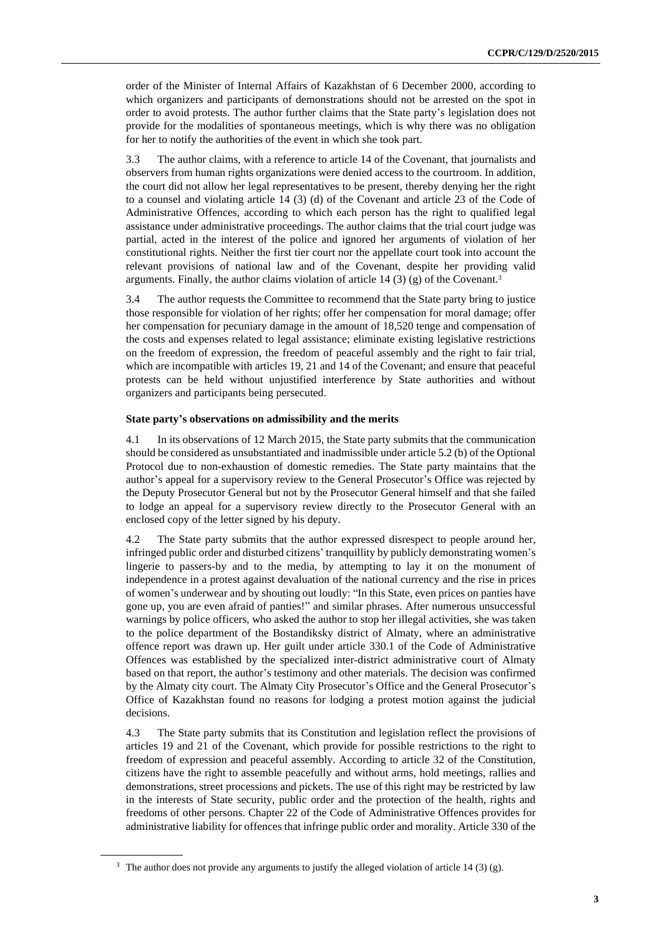order of the Minister of Internal Affairs of Kazakhstan of 6 December 2000, according to which organizers and participants of demonstrations should not be arrested on the spot in order to avoid protests. The author further claims that the State party's legislation does not provide for the modalities of spontaneous meetings, which is why there was no obligation for her to notify the authorities of the event in which she took part.

3.3 The author claims, with a reference to article 14 of the Covenant, that journalists and observers from human rights organizations were denied access to the courtroom. In addition, the court did not allow her legal representatives to be present, thereby denying her the right to a counsel and violating article 14 (3) (d) of the Covenant and article 23 of the Code of Administrative Offences, according to which each person has the right to qualified legal assistance under administrative proceedings. The author claims that the trial court judge was partial, acted in the interest of the police and ignored her arguments of violation of her constitutional rights. Neither the first tier court nor the appellate court took into account the relevant provisions of national law and of the Covenant, despite her providing valid arguments. Finally, the author claims violation of article 14 (3) (g) of the Covenant.<sup>3</sup>

3.4 The author requests the Committee to recommend that the State party bring to justice those responsible for violation of her rights; offer her compensation for moral damage; offer her compensation for pecuniary damage in the amount of 18,520 tenge and compensation of the costs and expenses related to legal assistance; eliminate existing legislative restrictions on the freedom of expression, the freedom of peaceful assembly and the right to fair trial, which are incompatible with articles 19, 21 and 14 of the Covenant; and ensure that peaceful protests can be held without unjustified interference by State authorities and without organizers and participants being persecuted.

# **State party's observations on admissibility and the merits**

4.1 In its observations of 12 March 2015, the State party submits that the communication should be considered as unsubstantiated and inadmissible under article 5.2 (b) of the Optional Protocol due to non-exhaustion of domestic remedies. The State party maintains that the author's appeal for a supervisory review to the General Prosecutor's Office was rejected by the Deputy Prosecutor General but not by the Prosecutor General himself and that she failed to lodge an appeal for a supervisory review directly to the Prosecutor General with an enclosed copy of the letter signed by his deputy.

4.2 The State party submits that the author expressed disrespect to people around her, infringed public order and disturbed citizens' tranquillity by publicly demonstrating women's lingerie to passers-by and to the media, by attempting to lay it on the monument of independence in a protest against devaluation of the national currency and the rise in prices of women's underwear and by shouting out loudly: "In this State, even prices on panties have gone up, you are even afraid of panties!" and similar phrases. After numerous unsuccessful warnings by police officers, who asked the author to stop her illegal activities, she was taken to the police department of the Bostandiksky district of Almaty, where an administrative offence report was drawn up. Her guilt under article 330.1 of the Code of Administrative Offences was established by the specialized inter-district administrative court of Almaty based on that report, the author's testimony and other materials. The decision was confirmed by the Almaty city court. The Almaty City Prosecutor's Office and the General Prosecutor's Office of Kazakhstan found no reasons for lodging a protest motion against the judicial decisions.

4.3 The State party submits that its Constitution and legislation reflect the provisions of articles 19 and 21 of the Covenant, which provide for possible restrictions to the right to freedom of expression and peaceful assembly. According to article 32 of the Constitution, citizens have the right to assemble peacefully and without arms, hold meetings, rallies and demonstrations, street processions and pickets. The use of this right may be restricted by law in the interests of State security, public order and the protection of the health, rights and freedoms of other persons. Chapter 22 of the Code of Administrative Offences provides for administrative liability for offences that infringe public order and morality. Article 330 of the

<sup>&</sup>lt;sup>3</sup> The author does not provide any arguments to justify the alleged violation of article 14 (3) (g).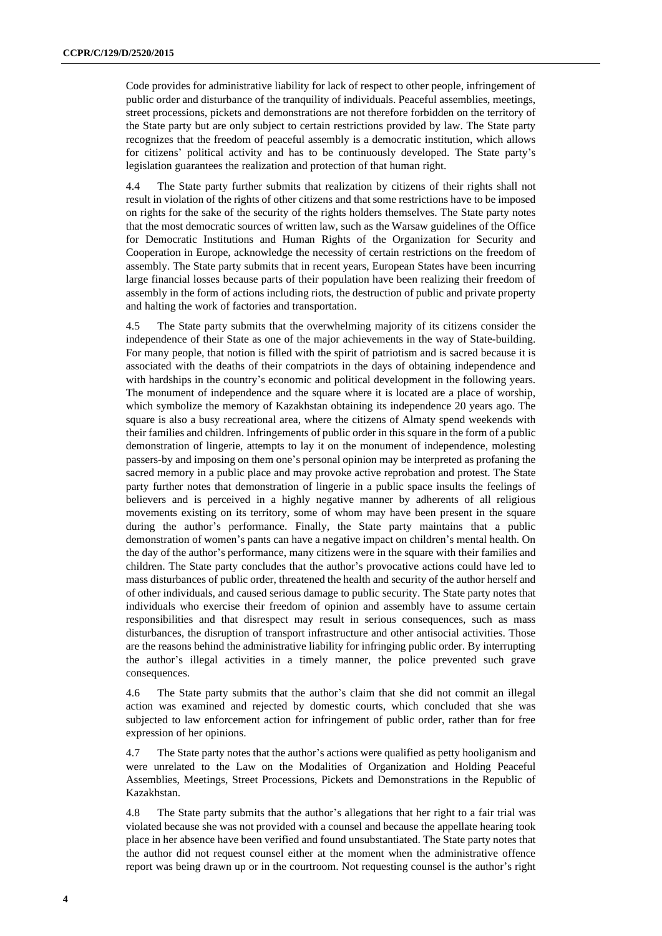Code provides for administrative liability for lack of respect to other people, infringement of public order and disturbance of the tranquility of individuals. Peaceful assemblies, meetings, street processions, pickets and demonstrations are not therefore forbidden on the territory of the State party but are only subject to certain restrictions provided by law. The State party recognizes that the freedom of peaceful assembly is a democratic institution, which allows for citizens' political activity and has to be continuously developed. The State party's legislation guarantees the realization and protection of that human right.

4.4 The State party further submits that realization by citizens of their rights shall not result in violation of the rights of other citizens and that some restrictions have to be imposed on rights for the sake of the security of the rights holders themselves. The State party notes that the most democratic sources of written law, such as the Warsaw guidelines of the Office for Democratic Institutions and Human Rights of the Organization for Security and Cooperation in Europe, acknowledge the necessity of certain restrictions on the freedom of assembly. The State party submits that in recent years, European States have been incurring large financial losses because parts of their population have been realizing their freedom of assembly in the form of actions including riots, the destruction of public and private property and halting the work of factories and transportation.

4.5 The State party submits that the overwhelming majority of its citizens consider the independence of their State as one of the major achievements in the way of State-building. For many people, that notion is filled with the spirit of patriotism and is sacred because it is associated with the deaths of their compatriots in the days of obtaining independence and with hardships in the country's economic and political development in the following years. The monument of independence and the square where it is located are a place of worship, which symbolize the memory of Kazakhstan obtaining its independence 20 years ago. The square is also a busy recreational area, where the citizens of Almaty spend weekends with their families and children. Infringements of public order in this square in the form of a public demonstration of lingerie, attempts to lay it on the monument of independence, molesting passers-by and imposing on them one's personal opinion may be interpreted as profaning the sacred memory in a public place and may provoke active reprobation and protest. The State party further notes that demonstration of lingerie in a public space insults the feelings of believers and is perceived in a highly negative manner by adherents of all religious movements existing on its territory, some of whom may have been present in the square during the author's performance. Finally, the State party maintains that a public demonstration of women's pants can have a negative impact on children's mental health. On the day of the author's performance, many citizens were in the square with their families and children. The State party concludes that the author's provocative actions could have led to mass disturbances of public order, threatened the health and security of the author herself and of other individuals, and caused serious damage to public security. The State party notes that individuals who exercise their freedom of opinion and assembly have to assume certain responsibilities and that disrespect may result in serious consequences, such as mass disturbances, the disruption of transport infrastructure and other antisocial activities. Those are the reasons behind the administrative liability for infringing public order. By interrupting the author's illegal activities in a timely manner, the police prevented such grave consequences.

4.6 The State party submits that the author's claim that she did not commit an illegal action was examined and rejected by domestic courts, which concluded that she was subjected to law enforcement action for infringement of public order, rather than for free expression of her opinions.

4.7 The State party notes that the author's actions were qualified as petty hooliganism and were unrelated to the Law on the Modalities of Organization and Holding Peaceful Assemblies, Meetings, Street Processions, Pickets and Demonstrations in the Republic of Kazakhstan.

4.8 The State party submits that the author's allegations that her right to a fair trial was violated because she was not provided with a counsel and because the appellate hearing took place in her absence have been verified and found unsubstantiated. The State party notes that the author did not request counsel either at the moment when the administrative offence report was being drawn up or in the courtroom. Not requesting counsel is the author's right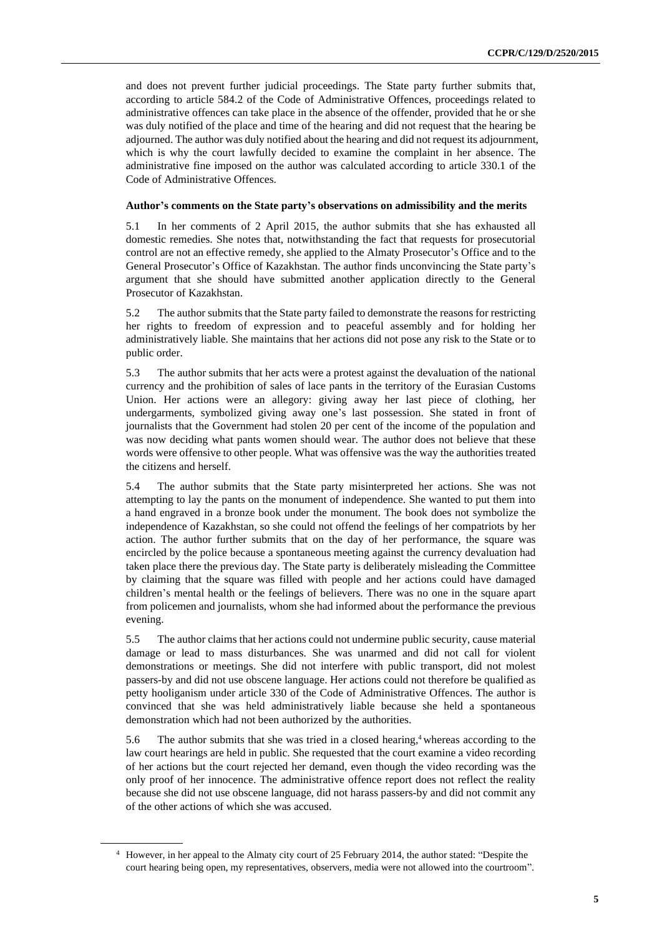and does not prevent further judicial proceedings. The State party further submits that, according to article 584.2 of the Code of Administrative Offences, proceedings related to administrative offences can take place in the absence of the offender, provided that he or she was duly notified of the place and time of the hearing and did not request that the hearing be adjourned. The author was duly notified about the hearing and did not request its adjournment, which is why the court lawfully decided to examine the complaint in her absence. The administrative fine imposed on the author was calculated according to article 330.1 of the Code of Administrative Offences.

#### **Author's comments on the State party's observations on admissibility and the merits**

5.1 In her comments of 2 April 2015, the author submits that she has exhausted all domestic remedies. She notes that, notwithstanding the fact that requests for prosecutorial control are not an effective remedy, she applied to the Almaty Prosecutor's Office and to the General Prosecutor's Office of Kazakhstan. The author finds unconvincing the State party's argument that she should have submitted another application directly to the General Prosecutor of Kazakhstan.

5.2 The author submits that the State party failed to demonstrate the reasons for restricting her rights to freedom of expression and to peaceful assembly and for holding her administratively liable. She maintains that her actions did not pose any risk to the State or to public order.

5.3 The author submits that her acts were a protest against the devaluation of the national currency and the prohibition of sales of lace pants in the territory of the Eurasian Customs Union. Her actions were an allegory: giving away her last piece of clothing, her undergarments, symbolized giving away one's last possession. She stated in front of journalists that the Government had stolen 20 per cent of the income of the population and was now deciding what pants women should wear. The author does not believe that these words were offensive to other people. What was offensive was the way the authorities treated the citizens and herself.

5.4 The author submits that the State party misinterpreted her actions. She was not attempting to lay the pants on the monument of independence. She wanted to put them into a hand engraved in a bronze book under the monument. The book does not symbolize the independence of Kazakhstan, so she could not offend the feelings of her compatriots by her action. The author further submits that on the day of her performance, the square was encircled by the police because a spontaneous meeting against the currency devaluation had taken place there the previous day. The State party is deliberately misleading the Committee by claiming that the square was filled with people and her actions could have damaged children's mental health or the feelings of believers. There was no one in the square apart from policemen and journalists, whom she had informed about the performance the previous evening.

5.5 The author claims that her actions could not undermine public security, cause material damage or lead to mass disturbances. She was unarmed and did not call for violent demonstrations or meetings. She did not interfere with public transport, did not molest passers-by and did not use obscene language. Her actions could not therefore be qualified as petty hooliganism under article 330 of the Code of Administrative Offences. The author is convinced that she was held administratively liable because she held a spontaneous demonstration which had not been authorized by the authorities.

5.6 The author submits that she was tried in a closed hearing,<sup>4</sup> whereas according to the law court hearings are held in public. She requested that the court examine a video recording of her actions but the court rejected her demand, even though the video recording was the only proof of her innocence. The administrative offence report does not reflect the reality because she did not use obscene language, did not harass passers-by and did not commit any of the other actions of which she was accused.

<sup>4</sup> However, in her appeal to the Almaty city court of 25 February 2014, the author stated: "Despite the court hearing being open, my representatives, observers, media were not allowed into the courtroom".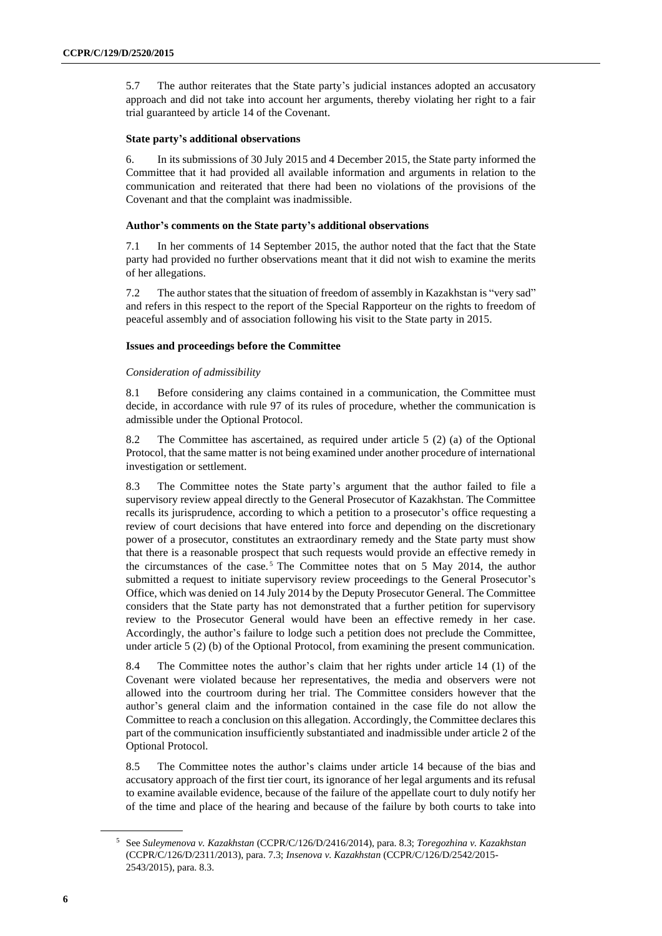5.7 The author reiterates that the State party's judicial instances adopted an accusatory approach and did not take into account her arguments, thereby violating her right to a fair trial guaranteed by article 14 of the Covenant.

### **State party's additional observations**

6. In its submissions of 30 July 2015 and 4 December 2015, the State party informed the Committee that it had provided all available information and arguments in relation to the communication and reiterated that there had been no violations of the provisions of the Covenant and that the complaint was inadmissible.

### **Author's comments on the State party's additional observations**

In her comments of 14 September 2015, the author noted that the fact that the State party had provided no further observations meant that it did not wish to examine the merits of her allegations.

7.2 The author states that the situation of freedom of assembly in Kazakhstan is "very sad" and refers in this respect to the report of the Special Rapporteur on the rights to freedom of peaceful assembly and of association following his visit to the State party in 2015.

# **Issues and proceedings before the Committee**

## *Consideration of admissibility*

8.1 Before considering any claims contained in a communication, the Committee must decide, in accordance with rule 97 of its rules of procedure, whether the communication is admissible under the Optional Protocol.

8.2 The Committee has ascertained, as required under article 5 (2) (a) of the Optional Protocol, that the same matter is not being examined under another procedure of international investigation or settlement.

8.3 The Committee notes the State party's argument that the author failed to file a supervisory review appeal directly to the General Prosecutor of Kazakhstan. The Committee recalls its jurisprudence, according to which a petition to a prosecutor's office requesting a review of court decisions that have entered into force and depending on the discretionary power of a prosecutor, constitutes an extraordinary remedy and the State party must show that there is a reasonable prospect that such requests would provide an effective remedy in the circumstances of the case.<sup>5</sup> The Committee notes that on 5 May 2014, the author submitted a request to initiate supervisory review proceedings to the General Prosecutor's Office, which was denied on 14 July 2014 by the Deputy Prosecutor General. The Committee considers that the State party has not demonstrated that a further petition for supervisory review to the Prosecutor General would have been an effective remedy in her case. Accordingly, the author's failure to lodge such a petition does not preclude the Committee, under article 5 (2) (b) of the Optional Protocol, from examining the present communication.

8.4 The Committee notes the author's claim that her rights under article 14 (1) of the Covenant were violated because her representatives, the media and observers were not allowed into the courtroom during her trial. The Committee considers however that the author's general claim and the information contained in the case file do not allow the Committee to reach a conclusion on this allegation. Accordingly, the Committee declares this part of the communication insufficiently substantiated and inadmissible under article 2 of the Optional Protocol.

8.5 The Committee notes the author's claims under article 14 because of the bias and accusatory approach of the first tier court, its ignorance of her legal arguments and its refusal to examine available evidence, because of the failure of the appellate court to duly notify her of the time and place of the hearing and because of the failure by both courts to take into

<sup>5</sup> See *Suleymenova v. Kazakhstan* (CCPR/C/126/D/2416/2014), para. 8.3; *Toregozhina v. Kazakhstan*  (CCPR/C/126/D/2311/2013), para. 7.3; *Insenova v. Kazakhstan* (CCPR/C/126/D/2542/2015- 2543/2015), para. 8.3.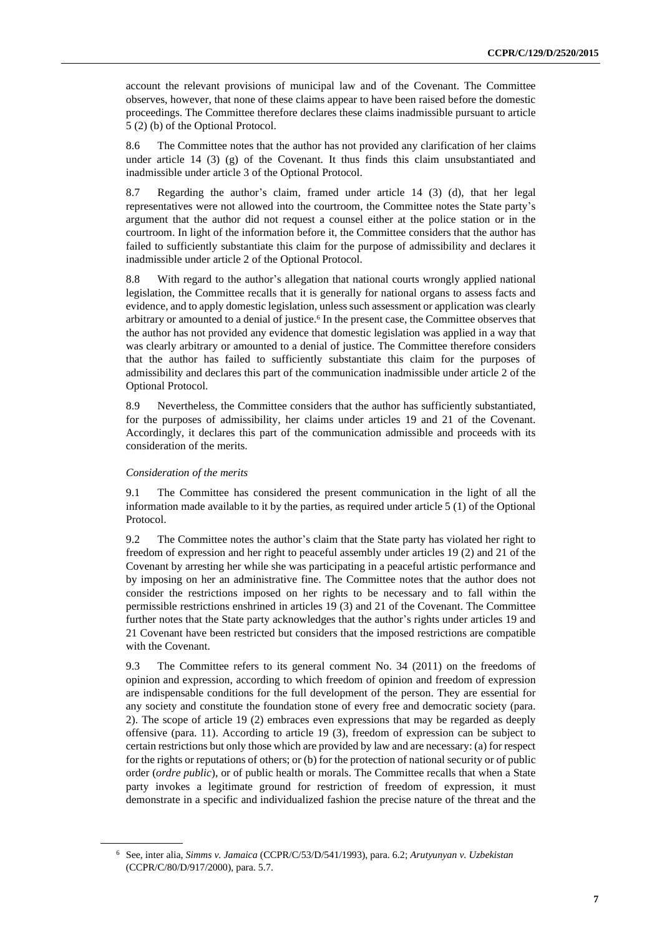account the relevant provisions of municipal law and of the Covenant. The Committee observes, however, that none of these claims appear to have been raised before the domestic proceedings. The Committee therefore declares these claims inadmissible pursuant to article 5 (2) (b) of the Optional Protocol.

8.6 The Committee notes that the author has not provided any clarification of her claims under article 14 (3) (g) of the Covenant. It thus finds this claim unsubstantiated and inadmissible under article 3 of the Optional Protocol.

8.7 Regarding the author's claim, framed under article 14 (3) (d), that her legal representatives were not allowed into the courtroom, the Committee notes the State party's argument that the author did not request a counsel either at the police station or in the courtroom. In light of the information before it, the Committee considers that the author has failed to sufficiently substantiate this claim for the purpose of admissibility and declares it inadmissible under article 2 of the Optional Protocol.

8.8 With regard to the author's allegation that national courts wrongly applied national legislation, the Committee recalls that it is generally for national organs to assess facts and evidence, and to apply domestic legislation, unless such assessment or application was clearly arbitrary or amounted to a denial of justice.<sup>6</sup> In the present case, the Committee observes that the author has not provided any evidence that domestic legislation was applied in a way that was clearly arbitrary or amounted to a denial of justice. The Committee therefore considers that the author has failed to sufficiently substantiate this claim for the purposes of admissibility and declares this part of the communication inadmissible under article 2 of the Optional Protocol.

8.9 Nevertheless, the Committee considers that the author has sufficiently substantiated, for the purposes of admissibility, her claims under articles 19 and 21 of the Covenant. Accordingly, it declares this part of the communication admissible and proceeds with its consideration of the merits.

#### *Consideration of the merits*

9.1 The Committee has considered the present communication in the light of all the information made available to it by the parties, as required under article 5 (1) of the Optional Protocol.

9.2 The Committee notes the author's claim that the State party has violated her right to freedom of expression and her right to peaceful assembly under articles 19 (2) and 21 of the Covenant by arresting her while she was participating in a peaceful artistic performance and by imposing on her an administrative fine. The Committee notes that the author does not consider the restrictions imposed on her rights to be necessary and to fall within the permissible restrictions enshrined in articles 19 (3) and 21 of the Covenant. The Committee further notes that the State party acknowledges that the author's rights under articles 19 and 21 Covenant have been restricted but considers that the imposed restrictions are compatible with the Covenant.

9.3 The Committee refers to its general comment No. 34 (2011) on the freedoms of opinion and expression, according to which freedom of opinion and freedom of expression are indispensable conditions for the full development of the person. They are essential for any society and constitute the foundation stone of every free and democratic society (para. 2). The scope of article 19 (2) embraces even expressions that may be regarded as deeply offensive (para. 11). According to article 19 (3), freedom of expression can be subject to certain restrictions but only those which are provided by law and are necessary: (a) for respect for the rights or reputations of others; or (b) for the protection of national security or of public order (*ordre public*), or of public health or morals. The Committee recalls that when a State party invokes a legitimate ground for restriction of freedom of expression, it must demonstrate in a specific and individualized fashion the precise nature of the threat and the

<sup>6</sup> See, inter alia, *Simms v. Jamaica* (CCPR/C/53/D/541/1993), para. 6.2; *Arutyunyan v. Uzbekistan*  (CCPR/C/80/D/917/2000), para. 5.7.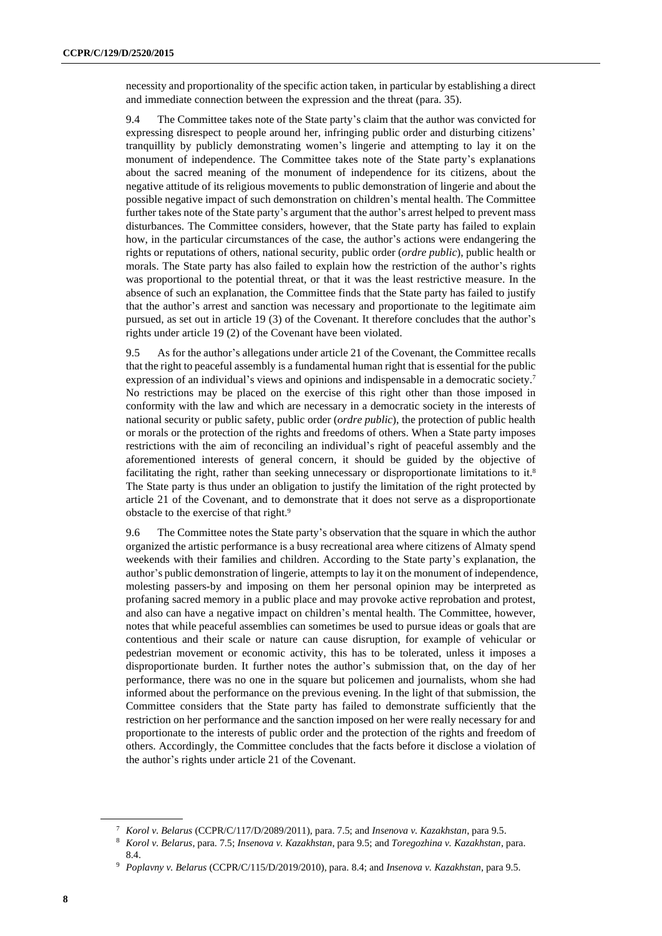necessity and proportionality of the specific action taken, in particular by establishing a direct and immediate connection between the expression and the threat (para. 35).

9.4 The Committee takes note of the State party's claim that the author was convicted for expressing disrespect to people around her, infringing public order and disturbing citizens' tranquillity by publicly demonstrating women's lingerie and attempting to lay it on the monument of independence. The Committee takes note of the State party's explanations about the sacred meaning of the monument of independence for its citizens, about the negative attitude of its religious movements to public demonstration of lingerie and about the possible negative impact of such demonstration on children's mental health. The Committee further takes note of the State party's argument that the author's arrest helped to prevent mass disturbances. The Committee considers, however, that the State party has failed to explain how, in the particular circumstances of the case, the author's actions were endangering the rights or reputations of others, national security, public order (*ordre public*), public health or morals. The State party has also failed to explain how the restriction of the author's rights was proportional to the potential threat, or that it was the least restrictive measure. In the absence of such an explanation, the Committee finds that the State party has failed to justify that the author's arrest and sanction was necessary and proportionate to the legitimate aim pursued, as set out in article 19 (3) of the Covenant. It therefore concludes that the author's rights under article 19 (2) of the Covenant have been violated.

9.5 As for the author's allegations under article 21 of the Covenant, the Committee recalls that the right to peaceful assembly is a fundamental human right that is essential for the public expression of an individual's views and opinions and indispensable in a democratic society.<sup>7</sup> No restrictions may be placed on the exercise of this right other than those imposed in conformity with the law and which are necessary in a democratic society in the interests of national security or public safety, public order (*ordre public*), the protection of public health or morals or the protection of the rights and freedoms of others. When a State party imposes restrictions with the aim of reconciling an individual's right of peaceful assembly and the aforementioned interests of general concern, it should be guided by the objective of facilitating the right, rather than seeking unnecessary or disproportionate limitations to it.<sup>8</sup> The State party is thus under an obligation to justify the limitation of the right protected by article 21 of the Covenant, and to demonstrate that it does not serve as a disproportionate obstacle to the exercise of that right.<sup>9</sup>

9.6 The Committee notes the State party's observation that the square in which the author organized the artistic performance is a busy recreational area where citizens of Almaty spend weekends with their families and children. According to the State party's explanation, the author's public demonstration of lingerie, attemptsto lay it on the monument of independence, molesting passers-by and imposing on them her personal opinion may be interpreted as profaning sacred memory in a public place and may provoke active reprobation and protest, and also can have a negative impact on children's mental health. The Committee, however, notes that while peaceful assemblies can sometimes be used to pursue ideas or goals that are contentious and their scale or nature can cause disruption, for example of vehicular or pedestrian movement or economic activity, this has to be tolerated, unless it imposes a disproportionate burden. It further notes the author's submission that, on the day of her performance, there was no one in the square but policemen and journalists, whom she had informed about the performance on the previous evening. In the light of that submission, the Committee considers that the State party has failed to demonstrate sufficiently that the restriction on her performance and the sanction imposed on her were really necessary for and proportionate to the interests of public order and the protection of the rights and freedom of others. Accordingly, the Committee concludes that the facts before it disclose a violation of the author's rights under article 21 of the Covenant.

<sup>7</sup> *Korol v. Belarus* (CCPR/C/117/D/2089/2011), para. 7.5; and *Insenova v. Kazakhstan*, para 9.5.

<sup>8</sup> *Korol v. Belarus*, para. 7.5; *Insenova v. Kazakhstan*, para 9.5; and *Toregozhina v. Kazakhstan*, para. 8.4.

<sup>9</sup> *Poplavny v. Belarus* (CCPR/C/115/D/2019/2010), para. 8.4; and *Insenova v. Kazakhstan*, para 9.5.